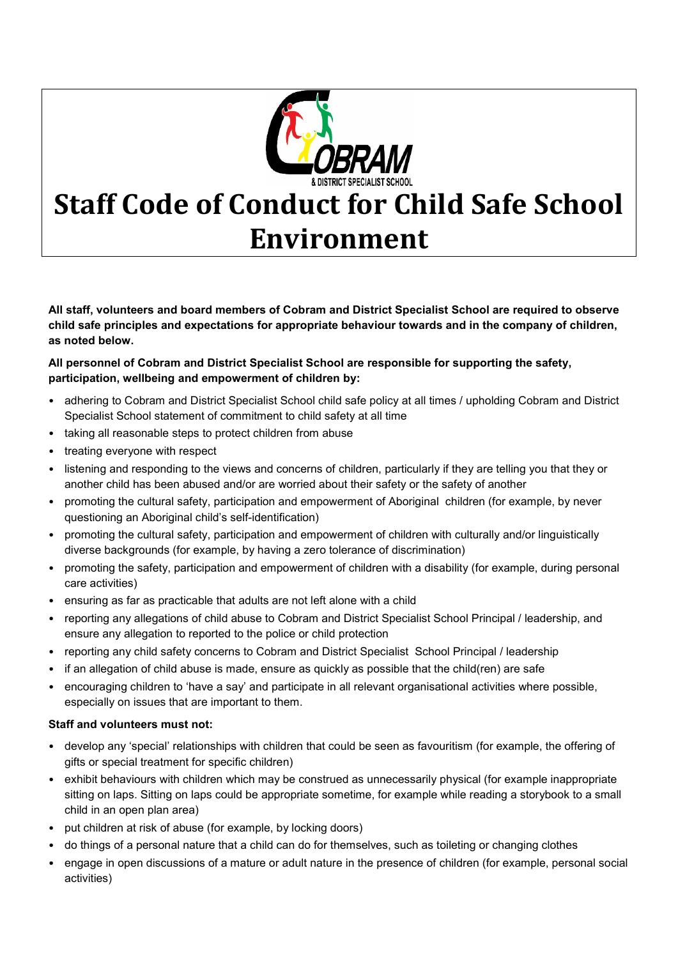

## **Staff Code of Conduct for Child Safe School Environment**

**All staff, volunteers and board members of Cobram and District Specialist School are required to observe child safe principles and expectations for appropriate behaviour towards and in the company of children, as noted below.**

## **All personnel of Cobram and District Specialist School are responsible for supporting the safety, participation, wellbeing and empowerment of children by:**

- adhering to Cobram and District Specialist School child safe policy at all times / upholding Cobram and District Specialist School statement of commitment to child safety at all time
- taking all reasonable steps to protect children from abuse
- treating everyone with respect
- listening and responding to the views and concerns of children, particularly if they are telling you that they or another child has been abused and/or are worried about their safety or the safety of another
- promoting the cultural safety, participation and empowerment of Aboriginal children (for example, by never questioning an Aboriginal child's self-identification)
- promoting the cultural safety, participation and empowerment of children with culturally and/or linguistically diverse backgrounds (for example, by having a zero tolerance of discrimination)
- promoting the safety, participation and empowerment of children with a disability (for example, during personal care activities)
- ensuring as far as practicable that adults are not left alone with a child
- reporting any allegations of child abuse to Cobram and District Specialist School Principal / leadership, and ensure any allegation to reported to the police or child protection
- reporting any child safety concerns to Cobram and District Specialist School Principal / leadership
- if an allegation of child abuse is made, ensure as quickly as possible that the child(ren) are safe
- encouraging children to 'have a say' and participate in all relevant organisational activities where possible, especially on issues that are important to them.

## **Staff and volunteers must not:**

- develop any 'special' relationships with children that could be seen as favouritism (for example, the offering of gifts or special treatment for specific children)
- exhibit behaviours with children which may be construed as unnecessarily physical (for example inappropriate sitting on laps. Sitting on laps could be appropriate sometime, for example while reading a storybook to a small child in an open plan area)
- put children at risk of abuse (for example, by locking doors)
- do things of a personal nature that a child can do for themselves, such as toileting or changing clothes
- engage in open discussions of a mature or adult nature in the presence of children (for example, personal social activities)